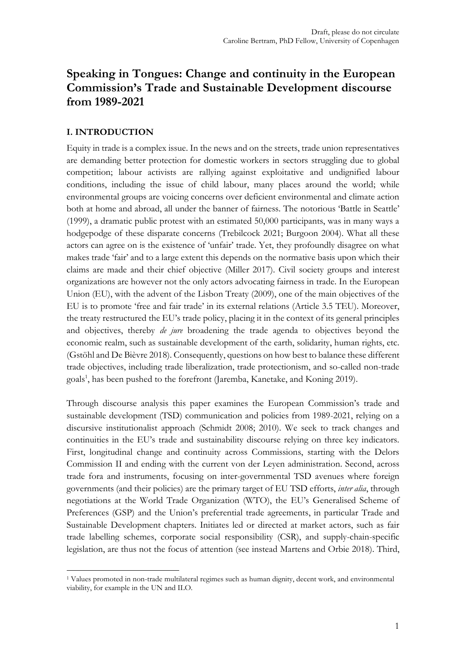# **Speaking in Tongues: Change and continuity in the European Commission's Trade and Sustainable Development discourse from 1989-2021**

## **I. INTRODUCTION**

Equity in trade is a complex issue. In the news and on the streets, trade union representatives are demanding better protection for domestic workers in sectors struggling due to global competition; labour activists are rallying against exploitative and undignified labour conditions, including the issue of child labour, many places around the world; while environmental groups are voicing concerns over deficient environmental and climate action both at home and abroad, all under the banner of fairness. The notorious 'Battle in Seattle' (1999), a dramatic public protest with an estimated 50,000 participants, was in many ways a hodgepodge of these disparate concerns (Trebilcock 2021; Burgoon 2004). What all these actors can agree on is the existence of 'unfair' trade. Yet, they profoundly disagree on what makes trade 'fair' and to a large extent this depends on the normative basis upon which their claims are made and their chief objective (Miller 2017). Civil society groups and interest organizations are however not the only actors advocating fairness in trade. In the European Union (EU), with the advent of the Lisbon Treaty (2009), one of the main objectives of the EU is to promote 'free and fair trade' in its external relations (Article 3.5 TEU). Moreover, the treaty restructured the EU's trade policy, placing it in the context of its general principles and objectives, thereby *de jure* broadening the trade agenda to objectives beyond the economic realm, such as sustainable development of the earth, solidarity, human rights, etc. (Gstöhl and De Bièvre 2018). Consequently, questions on how best to balance these different trade objectives, including trade liberalization, trade protectionism, and so-called non-trade goals<sup>1</sup>, has been pushed to the forefront (Jaremba, Kanetake, and Koning 2019).

Through discourse analysis this paper examines the European Commission's trade and sustainable development (TSD) communication and policies from 1989-2021, relying on a discursive institutionalist approach (Schmidt 2008; 2010). We seek to track changes and continuities in the EU's trade and sustainability discourse relying on three key indicators. First, longitudinal change and continuity across Commissions, starting with the Delors Commission II and ending with the current von der Leyen administration. Second, across trade fora and instruments, focusing on inter-governmental TSD avenues where foreign governments (and their policies) are the primary target of EU TSD efforts, *inter alia*, through negotiations at the World Trade Organization (WTO), the EU's Generalised Scheme of Preferences (GSP) and the Union's preferential trade agreements, in particular Trade and Sustainable Development chapters. Initiates led or directed at market actors, such as fair trade labelling schemes, corporate social responsibility (CSR), and supply-chain-specific legislation, are thus not the focus of attention (see instead Martens and Orbie 2018). Third,

<sup>&</sup>lt;u>.</u> <sup>1</sup> Values promoted in non-trade multilateral regimes such as human dignity, decent work, and environmental viability, for example in the UN and ILO.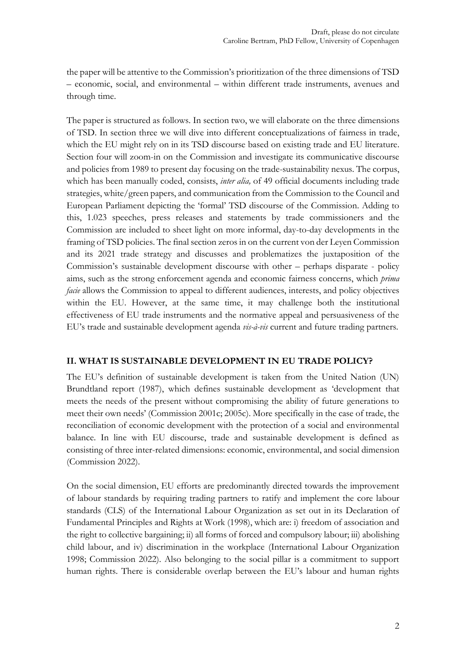the paper will be attentive to the Commission's prioritization of the three dimensions of TSD – economic, social, and environmental – within different trade instruments, avenues and through time.

The paper is structured as follows. In section two, we will elaborate on the three dimensions of TSD. In section three we will dive into different conceptualizations of fairness in trade, which the EU might rely on in its TSD discourse based on existing trade and EU literature. Section four will zoom-in on the Commission and investigate its communicative discourse and policies from 1989 to present day focusing on the trade-sustainability nexus. The corpus, which has been manually coded, consists, *inter alia,* of 49 official documents including trade strategies, white/green papers, and communication from the Commission to the Council and European Parliament depicting the 'formal' TSD discourse of the Commission. Adding to this, 1.023 speeches, press releases and statements by trade commissioners and the Commission are included to sheet light on more informal, day-to-day developments in the framing of TSD policies. The final section zeros in on the current von der Leyen Commission and its 2021 trade strategy and discusses and problematizes the juxtaposition of the Commission's sustainable development discourse with other – perhaps disparate - policy aims, such as the strong enforcement agenda and economic fairness concerns, which *prima facie* allows the Commission to appeal to different audiences, interests, and policy objectives within the EU. However, at the same time, it may challenge both the institutional effectiveness of EU trade instruments and the normative appeal and persuasiveness of the EU's trade and sustainable development agenda *vis-à-vis* current and future trading partners.

#### **II. WHAT IS SUSTAINABLE DEVELOPMENT IN EU TRADE POLICY?**

The EU's definition of sustainable development is taken from the United Nation (UN) Brundtland report (1987), which defines sustainable development as 'development that meets the needs of the present without compromising the ability of future generations to meet their own needs' (Commission 2001c; 2005c). More specifically in the case of trade, the reconciliation of economic development with the protection of a social and environmental balance. In line with EU discourse, trade and sustainable development is defined as consisting of three inter-related dimensions: economic, environmental, and social dimension (Commission 2022).

On the social dimension, EU efforts are predominantly directed towards the improvement of labour standards by requiring trading partners to ratify and implement the core labour standards (CLS) of the International Labour Organization as set out in its Declaration of Fundamental Principles and Rights at Work (1998), which are: i) freedom of association and the right to collective bargaining; ii) all forms of forced and compulsory labour; iii) abolishing child labour, and iv) discrimination in the workplace (International Labour Organization 1998; Commission 2022). Also belonging to the social pillar is a commitment to support human rights. There is considerable overlap between the EU's labour and human rights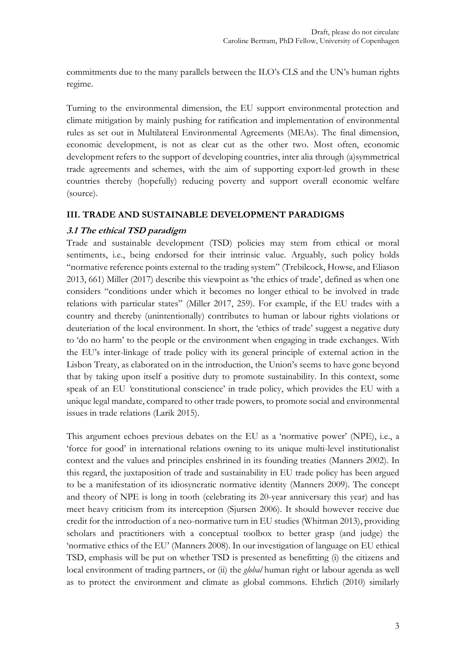commitments due to the many parallels between the ILO's CLS and the UN's human rights regime.

Turning to the environmental dimension, the EU support environmental protection and climate mitigation by mainly pushing for ratification and implementation of environmental rules as set out in Multilateral Environmental Agreements (MEAs). The final dimension, economic development, is not as clear cut as the other two. Most often, economic development refers to the support of developing countries, inter alia through (a)symmetrical trade agreements and schemes, with the aim of supporting export-led growth in these countries thereby (hopefully) reducing poverty and support overall economic welfare (source).

### **III. TRADE AND SUSTAINABLE DEVELOPMENT PARADIGMS**

### **3.1 The ethical TSD paradigm**

Trade and sustainable development (TSD) policies may stem from ethical or moral sentiments, i.e., being endorsed for their intrinsic value. Arguably, such policy holds "normative reference points external to the trading system" (Trebilcock, Howse, and Eliason 2013, 661) Miller (2017) describe this viewpoint as 'the ethics of trade', defined as when one considers "conditions under which it becomes no longer ethical to be involved in trade relations with particular states" (Miller 2017, 259). For example, if the EU trades with a country and thereby (unintentionally) contributes to human or labour rights violations or deuteriation of the local environment. In short, the 'ethics of trade' suggest a negative duty to 'do no harm' to the people or the environment when engaging in trade exchanges. With the EU's inter-linkage of trade policy with its general principle of external action in the Lisbon Treaty, as elaborated on in the introduction, the Union's seems to have gone beyond that by taking upon itself a positive duty to promote sustainability. In this context, some speak of an EU *'*constitutional conscience' in trade policy, which provides the EU with a unique legal mandate, compared to other trade powers, to promote social and environmental issues in trade relations (Larik 2015).

This argument echoes previous debates on the EU as a 'normative power' (NPE), i.e., a 'force for good' in international relations owning to its unique multi-level institutionalist context and the values and principles enshrined in its founding treaties (Manners 2002). In this regard, the juxtaposition of trade and sustainability in EU trade policy has been argued to be a manifestation of its idiosyncratic normative identity (Manners 2009). The concept and theory of NPE is long in tooth (celebrating its 20-year anniversary this year) and has meet heavy criticism from its interception (Sjursen 2006). It should however receive due credit for the introduction of a neo-normative turn in EU studies (Whitman 2013), providing scholars and practitioners with a conceptual toolbox to better grasp (and judge) the 'normative ethics of the EU' (Manners 2008). In our investigation of language on EU ethical TSD, emphasis will be put on whether TSD is presented as benefitting (i) the citizens and local environment of trading partners, or (ii) the *global* human right or labour agenda as well as to protect the environment and climate as global commons. Ehrlich (2010) similarly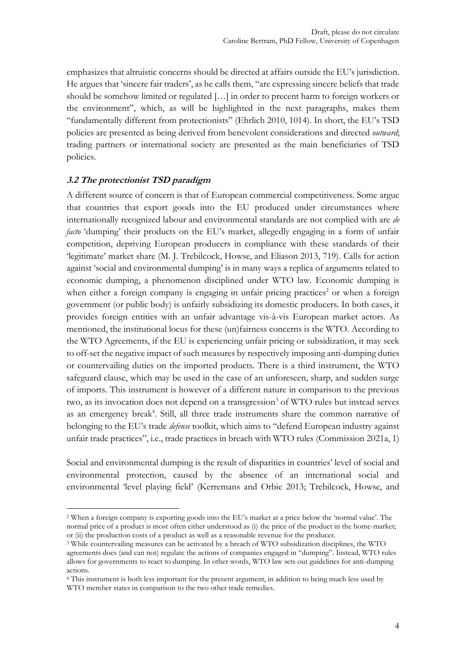emphasizes that altruistic concerns should be directed at affairs outside the EU's jurisdiction. He argues that 'sincere fair traders', as he calls them, "are expressing sincere beliefs that trade should be somehow limited or regulated […] in order to precent harm to foreign workers or the environment", which, as will be highlighted in the next paragraphs, makes them "fundamentally different from protectionists" (Ehrlich 2010, 1014). In short, the EU's TSD policies are presented as being derived from benevolent considerations and directed *outward*; trading partners or international society are presented as the main beneficiaries of TSD policies.

### **3.2 The protectionist TSD paradigm**

-

A different source of concern is that of European commercial competitiveness. Some argue that countries that export goods into the EU produced under circumstances where internationally recognized labour and environmental standards are not complied with are *de facto* 'dumping' their products on the EU's market, allegedly engaging in a form of unfair competition, depriving European producers in compliance with these standards of their 'legitimate' market share (M. J. Trebilcock, Howse, and Eliason 2013, 719). Calls for action against 'social and environmental dumping' is in many ways a replica of arguments related to economic dumping, a phenomenon disciplined under WTO law. Economic dumping is when either a foreign company is engaging in unfair pricing practices<sup>2</sup> or when a foreign government (or public body) is unfairly subsidizing its domestic producers. In both cases, it provides foreign entities with an unfair advantage vis-à-vis European market actors. As mentioned, the institutional locus for these (un)fairness concerns is the WTO. According to the WTO Agreements, if the EU is experiencing unfair pricing or subsidization, it may seek to off-set the negative impact of such measures by respectively imposing anti-dumping duties or countervailing duties on the imported products. There is a third instrument, the WTO safeguard clause, which may be used in the case of an unforeseen, sharp, and sudden surge of imports. This instrument is however of a different nature in comparison to the previous two, as its invocation does not depend on a transgression<sup>3</sup> of WTO rules but instead serves as an emergency break<sup>4</sup>. Still, all three trade instruments share the common narrative of belonging to the EU's trade *defense* toolkit, which aims to "defend European industry against unfair trade practices", i.e., trade practices in breach with WTO rules (Commission 2021a, 1)

Social and environmental dumping is the result of disparities in countries' level of social and environmental protection, caused by the absence of an international social and environmental 'level playing field' (Kerremans and Orbie 2013; Trebilcock, Howse, and

<sup>2</sup> When a foreign company is exporting goods into the EU's market at a price below the 'normal value'. The normal price of a product is most often either understood as (i) the price of the product in the home-market; or (ii) the production costs of a product as well as a reasonable revenue for the producer.

<sup>3</sup> While countervailing measures can be activated by a breach of WTO subsidization disciplines, the WTO agreements does (and can not) regulate the actions of companies engaged in "dumping". Instead, WTO rules allows for governments to react to dumping. In other words, WTO law sets out guidelines for anti-dumping actions.

<sup>4</sup> This instrument is both less important for the present argument, in addition to being much less used by WTO member states in comparison to the two other trade remedies.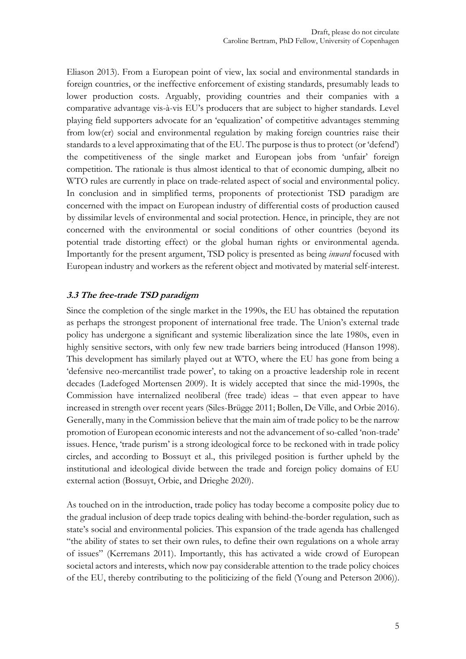Eliason 2013). From a European point of view, lax social and environmental standards in foreign countries, or the ineffective enforcement of existing standards, presumably leads to lower production costs. Arguably, providing countries and their companies with a comparative advantage vis-à-vis EU's producers that are subject to higher standards. Level playing field supporters advocate for an 'equalization' of competitive advantages stemming from low(er) social and environmental regulation by making foreign countries raise their standards to a level approximating that of the EU. The purpose is thus to protect (or 'defend') the competitiveness of the single market and European jobs from 'unfair' foreign competition. The rationale is thus almost identical to that of economic dumping, albeit no WTO rules are currently in place on trade-related aspect of social and environmental policy. In conclusion and in simplified terms, proponents of protectionist TSD paradigm are concerned with the impact on European industry of differential costs of production caused by dissimilar levels of environmental and social protection. Hence, in principle, they are not concerned with the environmental or social conditions of other countries (beyond its potential trade distorting effect) or the global human rights or environmental agenda. Importantly for the present argument, TSD policy is presented as being *inward* focused with European industry and workers as the referent object and motivated by material self-interest.

### **3.3 The free-trade TSD paradigm**

Since the completion of the single market in the 1990s, the EU has obtained the reputation as perhaps the strongest proponent of international free trade. The Union's external trade policy has undergone a significant and systemic liberalization since the late 1980s, even in highly sensitive sectors, with only few new trade barriers being introduced (Hanson 1998). This development has similarly played out at WTO, where the EU has gone from being a 'defensive neo-mercantilist trade power', to taking on a proactive leadership role in recent decades (Ladefoged Mortensen 2009). It is widely accepted that since the mid-1990s, the Commission have internalized neoliberal (free trade) ideas – that even appear to have increased in strength over recent years (Siles-Brügge 2011; Bollen, De Ville, and Orbie 2016). Generally, many in the Commission believe that the main aim of trade policy to be the narrow promotion of European economic interests and not the advancement of so-called 'non-trade' issues. Hence, 'trade purism' is a strong ideological force to be reckoned with in trade policy circles, and according to Bossuyt et al., this privileged position is further upheld by the institutional and ideological divide between the trade and foreign policy domains of EU external action (Bossuyt, Orbie, and Drieghe 2020).

As touched on in the introduction, trade policy has today become a composite policy due to the gradual inclusion of deep trade topics dealing with behind-the-border regulation, such as state's social and environmental policies. This expansion of the trade agenda has challenged "the ability of states to set their own rules, to define their own regulations on a whole array of issues" (Kerremans 2011). Importantly, this has activated a wide crowd of European societal actors and interests, which now pay considerable attention to the trade policy choices of the EU, thereby contributing to the politicizing of the field (Young and Peterson 2006)).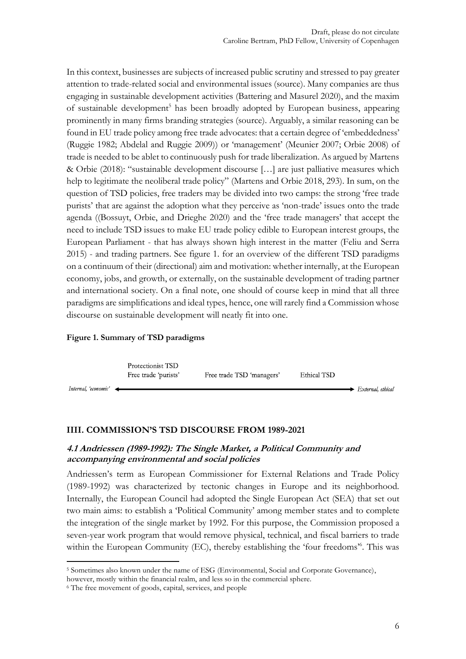In this context, businesses are subjects of increased public scrutiny and stressed to pay greater attention to trade-related social and environmental issues (source). Many companies are thus engaging in sustainable development activities (Battering and Masurel 2020), and the maxim of sustainable development<sup>5</sup> has been broadly adopted by European business, appearing prominently in many firms branding strategies (source). Arguably, a similar reasoning can be found in EU trade policy among free trade advocates: that a certain degree of 'embeddedness' (Ruggie 1982; Abdelal and Ruggie 2009)) or 'management' (Meunier 2007; Orbie 2008) of trade is needed to be ablet to continuously push for trade liberalization. As argued by Martens & Orbie (2018): "sustainable development discourse […] are just palliative measures which help to legitimate the neoliberal trade policy" (Martens and Orbie 2018, 293). In sum, on the question of TSD policies, free traders may be divided into two camps: the strong 'free trade purists' that are against the adoption what they perceive as 'non-trade' issues onto the trade agenda ((Bossuyt, Orbie, and Drieghe 2020) and the 'free trade managers' that accept the need to include TSD issues to make EU trade policy edible to European interest groups, the European Parliament - that has always shown high interest in the matter (Feliu and Serra 2015) - and trading partners. See figure 1. for an overview of the different TSD paradigms on a continuum of their (directional) aim and motivation: whether internally, at the European economy, jobs, and growth, or externally, on the sustainable development of trading partner and international society. On a final note, one should of course keep in mind that all three paradigms are simplifications and ideal types, hence, one will rarely find a Commission whose discourse on sustainable development will neatly fit into one.

#### **Figure 1. Summary of TSD paradigms**



#### **IIII. COMMISSION'S TSD DISCOURSE FROM 1989-2021**

#### **4.1 Andriessen (1989-1992): The Single Market, a Political Community and accompanying environmental and social policies**

Andriessen's term as European Commissioner for External Relations and Trade Policy (1989-1992) was characterized by tectonic changes in Europe and its neighborhood. Internally, the European Council had adopted the Single European Act (SEA) that set out two main aims: to establish a 'Political Community' among member states and to complete the integration of the single market by 1992. For this purpose, the Commission proposed a seven-year work program that would remove physical, technical, and fiscal barriers to trade within the European Community (EC), thereby establishing the 'four freedoms<sup>36</sup>. This was

<u>.</u>

<sup>5</sup> Sometimes also known under the name of ESG (Environmental, Social and Corporate Governance),

however, mostly within the financial realm, and less so in the commercial sphere.

<sup>6</sup> The free movement of goods, capital, services, and people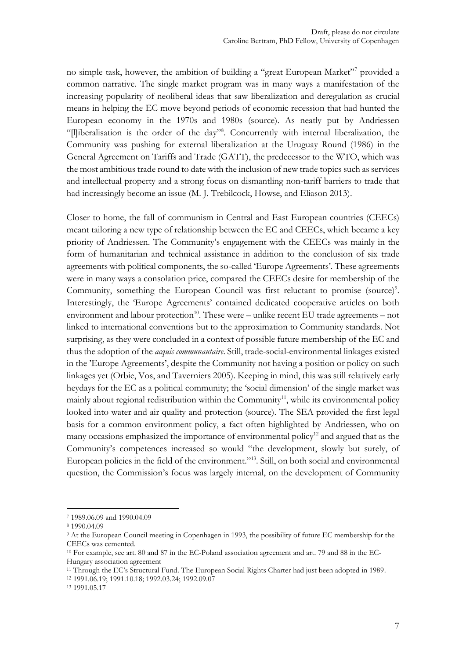no simple task, however, the ambition of building a "great European Market"<sup>7</sup> provided a common narrative. The single market program was in many ways a manifestation of the increasing popularity of neoliberal ideas that saw liberalization and deregulation as crucial means in helping the EC move beyond periods of economic recession that had hunted the European economy in the 1970s and 1980s (source). As neatly put by Andriessen "[l]iberalisation is the order of the day"<sup>8</sup> . Concurrently with internal liberalization, the Community was pushing for external liberalization at the Uruguay Round (1986) in the General Agreement on Tariffs and Trade (GATT), the predecessor to the WTO, which was the most ambitious trade round to date with the inclusion of new trade topics such as services and intellectual property and a strong focus on dismantling non-tariff barriers to trade that had increasingly become an issue (M. J. Trebilcock, Howse, and Eliason 2013).

Closer to home, the fall of communism in Central and East European countries (CEECs) meant tailoring a new type of relationship between the EC and CEECs, which became a key priority of Andriessen. The Community's engagement with the CEECs was mainly in the form of humanitarian and technical assistance in addition to the conclusion of six trade agreements with political components, the so-called 'Europe Agreements'. These agreements were in many ways a consolation price, compared the CEECs desire for membership of the Community, something the European Council was first reluctant to promise (source)<sup>9</sup>. Interestingly, the 'Europe Agreements' contained dedicated cooperative articles on both environment and labour protection<sup>10</sup>. These were  $-$  unlike recent EU trade agreements  $-$  not linked to international conventions but to the approximation to Community standards. Not surprising, as they were concluded in a context of possible future membership of the EC and thus the adoption of the *acquis communautaire*. Still, trade-social-environmental linkages existed in the 'Europe Agreements', despite the Community not having a position or policy on such linkages yet (Orbie, Vos, and Taverniers 2005). Keeping in mind, this was still relatively early heydays for the EC as a political community; the 'social dimension' of the single market was mainly about regional redistribution within the Community<sup>11</sup>, while its environmental policy looked into water and air quality and protection (source). The SEA provided the first legal basis for a common environment policy, a fact often highlighted by Andriessen, who on many occasions emphasized the importance of environmental policy<sup>12</sup> and argued that as the Community's competences increased so would "the development, slowly but surely, of European policies in the field of the environment." 13 . Still, on both social and environmental question, the Commission's focus was largely internal, on the development of Community

-

<sup>11</sup> Through the EC's Structural Fund. The European Social Rights Charter had just been adopted in 1989.

<sup>12</sup> 1991.06.19; 1991.10.18; 1992.03.24; 1992.09.07

<sup>7</sup> 1989.06.09 and 1990.04.09

<sup>8</sup> 1990.04.09

<sup>9</sup> At the European Council meeting in Copenhagen in 1993, the possibility of future EC membership for the CEECs was cemented.

<sup>10</sup> For example, see art. 80 and 87 in the EC-Poland association agreement and art. 79 and 88 in the EC-Hungary association agreement

<sup>13</sup> 1991.05.17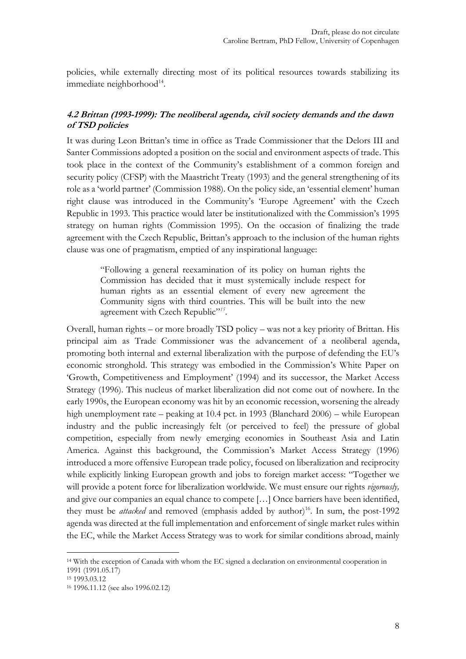policies, while externally directing most of its political resources towards stabilizing its immediate neighborhood<sup>14</sup>.

### **4.2 Brittan (1993-1999): The neoliberal agenda, civil society demands and the dawn of TSD policies**

It was during Leon Brittan's time in office as Trade Commissioner that the Delors III and Santer Commissions adopted a position on the social and environment aspects of trade. This took place in the context of the Community's establishment of a common foreign and security policy (CFSP) with the Maastricht Treaty (1993) and the general strengthening of its role as a 'world partner' (Commission 1988). On the policy side, an 'essential element' human right clause was introduced in the Community's 'Europe Agreement' with the Czech Republic in 1993. This practice would later be institutionalized with the Commission's 1995 strategy on human rights (Commission 1995). On the occasion of finalizing the trade agreement with the Czech Republic, Brittan's approach to the inclusion of the human rights clause was one of pragmatism, emptied of any inspirational language:

"Following a general reexamination of its policy on human rights the Commission has decided that it must systemically include respect for human rights as an essential element of every new agreement the Community signs with third countries. This will be built into the new agreement with Czech Republic"<sup>15</sup>.

Overall, human rights – or more broadly TSD policy – was not a key priority of Brittan. His principal aim as Trade Commissioner was the advancement of a neoliberal agenda, promoting both internal and external liberalization with the purpose of defending the EU's economic stronghold. This strategy was embodied in the Commission's White Paper on 'Growth, Competitiveness and Employment' (1994) and its successor, the Market Access Strategy (1996). This nucleus of market liberalization did not come out of nowhere. In the early 1990s, the European economy was hit by an economic recession, worsening the already high unemployment rate – peaking at 10.4 pct. in 1993 (Blanchard 2006) – while European industry and the public increasingly felt (or perceived to feel) the pressure of global competition, especially from newly emerging economies in Southeast Asia and Latin America. Against this background, the Commission's Market Access Strategy (1996) introduced a more offensive European trade policy, focused on liberalization and reciprocity while explicitly linking European growth and jobs to foreign market access: "Together we will provide a potent force for liberalization worldwide. We must ensure our rights *vigorously,*  and give our companies an equal chance to compete […] Once barriers have been identified, they must be *attacked* and removed (emphasis added by author)<sup>16</sup>. In sum, the post-1992 agenda was directed at the full implementation and enforcement of single market rules within the EC, while the Market Access Strategy was to work for similar conditions abroad, mainly

<sup>14</sup> With the exception of Canada with whom the EC signed a declaration on environmental cooperation in 1991 (1991.05.17)

<sup>15</sup> 1993.03.12

<sup>16</sup> 1996.11.12 (see also 1996.02.12)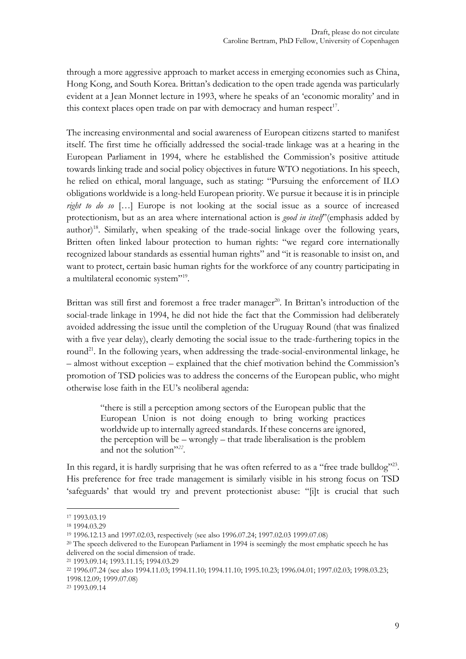through a more aggressive approach to market access in emerging economies such as China, Hong Kong, and South Korea. Brittan's dedication to the open trade agenda was particularly evident at a Jean Monnet lecture in 1993, where he speaks of an 'economic morality' and in this context places open trade on par with democracy and human respect<sup>17</sup>.

The increasing environmental and social awareness of European citizens started to manifest itself. The first time he officially addressed the social-trade linkage was at a hearing in the European Parliament in 1994, where he established the Commission's positive attitude towards linking trade and social policy objectives in future WTO negotiations. In his speech, he relied on ethical, moral language, such as stating: "Pursuing the enforcement of ILO obligations worldwide is a long-held European priority. We pursue it because it is in principle *right to do so* […] Europe is not looking at the social issue as a source of increased protectionism, but as an area where international action is *good in itself*"(emphasis added by author) 18 . Similarly, when speaking of the trade-social linkage over the following years, Britten often linked labour protection to human rights: "we regard core internationally recognized labour standards as essential human rights" and "it is reasonable to insist on, and want to protect, certain basic human rights for the workforce of any country participating in a multilateral economic system"<sup>19</sup>.

Brittan was still first and foremost a free trader manager<sup>20</sup>. In Brittan's introduction of the social-trade linkage in 1994, he did not hide the fact that the Commission had deliberately avoided addressing the issue until the completion of the Uruguay Round (that was finalized with a five year delay), clearly demoting the social issue to the trade-furthering topics in the round<sup>21</sup>. In the following years, when addressing the trade-social-environmental linkage, he – almost without exception – explained that the chief motivation behind the Commission's promotion of TSD policies was to address the concerns of the European public, who might otherwise lose faith in the EU's neoliberal agenda:

> "there is still a perception among sectors of the European public that the European Union is not doing enough to bring working practices worldwide up to internally agreed standards. If these concerns are ignored, the perception will be – wrongly – that trade liberalisation is the problem and not the solution" *22* .

In this regard, it is hardly surprising that he was often referred to as a "free trade bulldog"<sup>23</sup>. His preference for free trade management is similarly visible in his strong focus on TSD 'safeguards' that would try and prevent protectionist abuse: "[i]t is crucial that such

<sup>17</sup> 1993.03.19

<sup>18</sup> 1994.03.29

<sup>19</sup> 1996.12.13 and 1997.02.03, respectively (see also 1996.07.24; 1997.02.03 1999.07.08)

<sup>&</sup>lt;sup>20</sup> The speech delivered to the European Parliament in 1994 is seemingly the most emphatic speech he has delivered on the social dimension of trade.

<sup>21</sup> 1993.09.14; 1993.11.15; 1994.03.29

<sup>22</sup> 1996.07.24 (see also 1994.11.03; 1994.11.10; 1994.11.10; 1995.10.23; 1996.04.01; 1997.02.03; 1998.03.23; 1998.12.09; 1999.07.08)

<sup>23</sup> 1993.09.14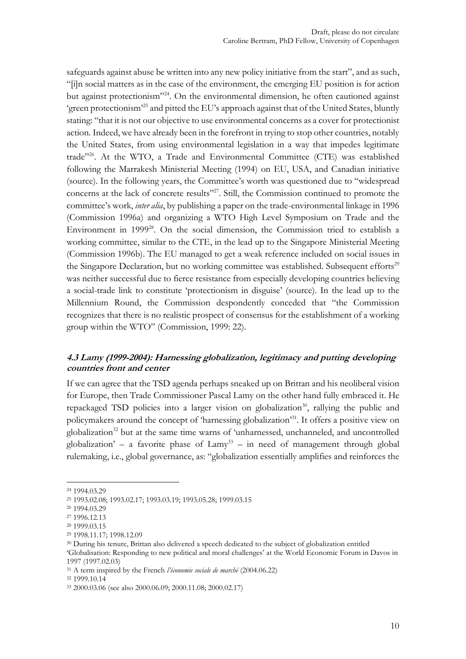safeguards against abuse be written into any new policy initiative from the start", and as such, "[i]n social matters as in the case of the environment, the emerging EU position is for action but against protectionism" <sup>24</sup>. On the environmental dimension, he often cautioned against 'green protectionism'<sup>25</sup> and pitted the EU's approach against that of the United States, bluntly stating: "that it is not our objective to use environmental concerns as a cover for protectionist action. Indeed, we have already been in the forefront in trying to stop other countries, notably the United States, from using environmental legislation in a way that impedes legitimate trade"<sup>26</sup>. At the WTO, a Trade and Environmental Committee (CTE) was established following the Marrakesh Ministerial Meeting (1994) on EU, USA, and Canadian initiative (source). In the following years, the Committee's worth was questioned due to "widespread concerns at the lack of concrete results"<sup>27</sup>. Still, the Commission continued to promote the committee's work, *inter alia*, by publishing a paper on the trade-environmental linkage in 1996 (Commission 1996a) and organizing a WTO High Level Symposium on Trade and the Environment in 1999<sup>28</sup>. On the social dimension, the Commission tried to establish a working committee, similar to the CTE, in the lead up to the Singapore Ministerial Meeting (Commission 1996b). The EU managed to get a weak reference included on social issues in the Singapore Declaration, but no working committee was established. Subsequent efforts<sup>29</sup> was neither successful due to fierce resistance from especially developing countries believing a social-trade link to constitute 'protectionism in disguise' (source). In the lead up to the Millennium Round, the Commission despondently conceded that "the Commission recognizes that there is no realistic prospect of consensus for the establishment of a working group within the WTO" (Commission, 1999: 22).

### **4.3 Lamy (1999-2004): Harnessing globalization, legitimacy and putting developing countries front and center**

If we can agree that the TSD agenda perhaps sneaked up on Brittan and his neoliberal vision for Europe, then Trade Commissioner Pascal Lamy on the other hand fully embraced it. He repackaged TSD policies into a larger vision on globalization<sup>30</sup>, rallying the public and policymakers around the concept of 'harnessing globalization'<sup>31</sup>. It offers a positive view on globalization<sup>32</sup> but at the same time warns of 'unharnessed, unchanneled, and uncontrolled globalization' – a favorite phase of  $\text{Lamy}^{33}$  – in need of management through global rulemaking, i.e., global governance, as: "globalization essentially amplifies and reinforces the

-

<sup>32</sup> 1999.10.14

<sup>24</sup> 1994.03.29

<sup>25</sup> 1993.02.08; 1993.02.17; 1993.03.19; 1993.05.28; 1999.03.15

<sup>26</sup> 1994.03.29

<sup>27</sup> 1996.12.13

<sup>28</sup> 1999.03.15

<sup>29</sup> 1998.11.17; 1998.12.09

<sup>30</sup> During his tenure, Brittan also delivered a speech dedicated to the subject of globalization entitled 'Globalisation: Responding to new political and moral challenges' at the World Economic Forum in Davos in

<sup>1997</sup> (1997.02.03)

<sup>31</sup> A term inspired by the French *l'économie sociale de marché* (2004.06.22)

<sup>33</sup> 2000.03.06 (see also 2000.06.09; 2000.11.08; 2000.02.17)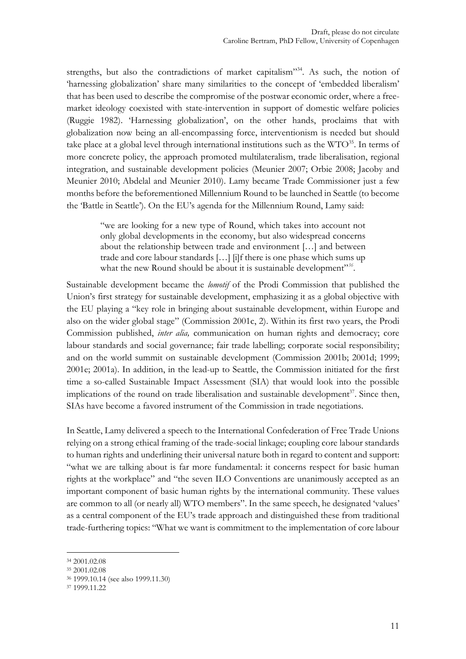strengths, but also the contradictions of market capitalism"<sup>34</sup>. As such, the notion of 'harnessing globalization' share many similarities to the concept of 'embedded liberalism' that has been used to describe the compromise of the postwar economic order, where a freemarket ideology coexisted with state-intervention in support of domestic welfare policies (Ruggie 1982). 'Harnessing globalization', on the other hands, proclaims that with globalization now being an all-encompassing force, interventionism is needed but should take place at a global level through international institutions such as the  $WTO^{35}$ . In terms of more concrete policy, the approach promoted multilateralism, trade liberalisation, regional integration, and sustainable development policies (Meunier 2007; Orbie 2008; Jacoby and Meunier 2010; Abdelal and Meunier 2010). Lamy became Trade Commissioner just a few months before the beforementioned Millennium Round to be launched in Seattle (to become the 'Battle in Seattle'). On the EU's agenda for the Millennium Round, Lamy said:

"we are looking for a new type of Round, which takes into account not only global developments in the economy, but also widespread concerns about the relationship between trade and environment […] and between trade and core labour standards […] [i]f there is one phase which sums up what the new Round should be about it is sustainable development"<sup>356</sup>.

Sustainable development became the *lomotif* of the Prodi Commission that published the Union's first strategy for sustainable development, emphasizing it as a global objective with the EU playing a "key role in bringing about sustainable development, within Europe and also on the wider global stage" (Commission 2001c, 2). Within its first two years, the Prodi Commission published, *inter alia,* communication on human rights and democracy; core labour standards and social governance; fair trade labelling; corporate social responsibility; and on the world summit on sustainable development (Commission 2001b; 2001d; 1999; 2001e; 2001a). In addition, in the lead-up to Seattle, the Commission initiated for the first time a so-called Sustainable Impact Assessment (SIA) that would look into the possible implications of the round on trade liberalisation and sustainable development<sup>37</sup>. Since then, SIAs have become a favored instrument of the Commission in trade negotiations.

In Seattle, Lamy delivered a speech to the International Confederation of Free Trade Unions relying on a strong ethical framing of the trade-social linkage; coupling core labour standards to human rights and underlining their universal nature both in regard to content and support: "what we are talking about is far more fundamental: it concerns respect for basic human rights at the workplace" and "the seven ILO Conventions are unanimously accepted as an important component of basic human rights by the international community. These values are common to all (or nearly all) WTO members". In the same speech, he designated 'values' as a central component of the EU's trade approach and distinguished these from traditional trade-furthering topics: "What we want is commitment to the implementation of core labour

<sup>34</sup> 2001.02.08

<sup>35</sup> 2001.02.08

<sup>36</sup> 1999.10.14 (see also 1999.11.30)

<sup>37</sup> 1999.11.22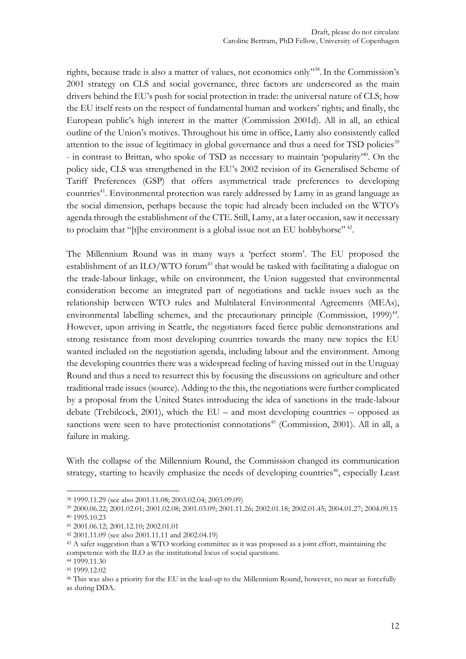rights, because trade is also a matter of values, not economics only"<sup>38</sup>. In the Commission's 2001 strategy on CLS and social governance, three factors are underscored as the main drivers behind the EU's push for social protection in trade: the universal nature of CLS; how the EU itself rests on the respect of fundamental human and workers' rights; and finally, the European public's high interest in the matter (Commission 2001d). All in all, an ethical outline of the Union's motives. Throughout his time in office, Lamy also consistently called attention to the issue of legitimacy in global governance and thus a need for TSD policies<sup>39</sup> - in contrast to Brittan, who spoke of TSD as necessary to maintain 'popularity'<sup>40</sup> . On the policy side, CLS was strengthened in the EU's 2002 revision of its Generalised Scheme of Tariff Preferences (GSP) that offers asymmetrical trade preferences to developing countries<sup>41</sup>. Environmental protection was rarely addressed by Lamy in as grand language as the social dimension, perhaps because the topic had already been included on the WTO's agenda through the establishment of the CTE. Still, Lamy, at a later occasion, saw it necessary to proclaim that "[t]he environment is a global issue not an EU hobbyhorse"<sup>42</sup>.

The Millennium Round was in many ways a 'perfect storm'. The EU proposed the establishment of an ILO/WTO forum<sup>43</sup> that would be tasked with facilitating a dialogue on the trade-labour linkage, while on environment, the Union suggested that environmental consideration become an integrated part of negotiations and tackle issues such as the relationship between WTO rules and Multilateral Environmental Agreements (MEAs), environmental labelling schemes, and the precautionary principle (Commission, 1999)<sup>44</sup>. However, upon arriving in Seattle, the negotiators faced fierce public demonstrations and strong resistance from most developing countries towards the many new topics the EU wanted included on the negotiation agenda, including labour and the environment. Among the developing countries there was a widespread feeling of having missed out in the Uruguay Round and thus a need to resurrect this by focusing the discussions on agriculture and other traditional trade issues (source). Adding to the this, the negotiations were further complicated by a proposal from the United States introducing the idea of sanctions in the trade-labour debate (Trebilcock, 2001), which the EU – and most developing countries – opposed as sanctions were seen to have protectionist connotations<sup>45</sup> (Commission, 2001). All in all, a failure in making.

With the collapse of the Millennium Round, the Commission changed its communication strategy, starting to heavily emphasize the needs of developing countries<sup>46</sup>, especially Least

<sup>38</sup> 1999.11.29 (see also 2001.11.08; 2003.02.04; 2003.09.09)

<sup>39</sup> 2000.06.22; 2001.02.01; 2001.02.08; 2001.03.09; 2001.11.26; 2002.01.18; 2002.01.45; 2004.01.27; 2004.09.15 <sup>40</sup> 1995.10.23

<sup>41</sup> 2001.06.12; 2001.12.10; 2002.01.01

<sup>42</sup> 2001.11.09 (see also 2001.11.11 and 2002.04.19)

<sup>43</sup> A safer suggestion than a WTO working committee as it was proposed as a joint effort, maintaining the competence with the ILO as the institutional locus of social questions.

<sup>44</sup> 1999.11.30

<sup>45</sup> 1999.12.02

<sup>46</sup> This was also a priority for the EU in the lead-up to the Millennium Round, however, no near as forcefully as during DDA.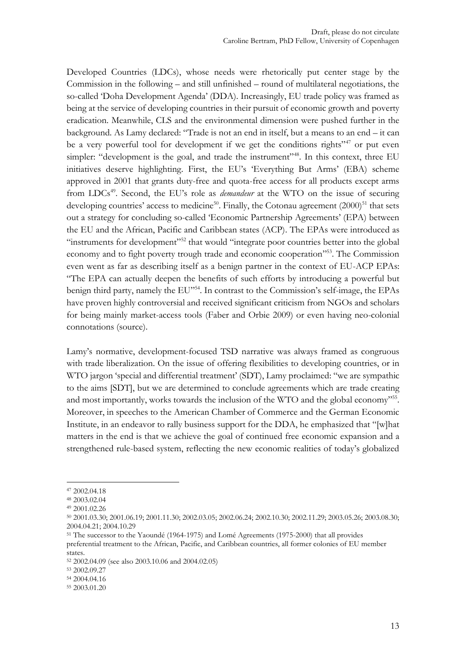Developed Countries (LDCs), whose needs were rhetorically put center stage by the Commission in the following – and still unfinished – round of multilateral negotiations, the so-called 'Doha Development Agenda' (DDA). Increasingly, EU trade policy was framed as being at the service of developing countries in their pursuit of economic growth and poverty eradication. Meanwhile, CLS and the environmental dimension were pushed further in the background. As Lamy declared: "Trade is not an end in itself, but a means to an end – it can be a very powerful tool for development if we get the conditions rights" $47$  or put even simpler: "development is the goal, and trade the instrument"<sup>48</sup>. In this context, three EU initiatives deserve highlighting. First, the EU's 'Everything But Arms' (EBA) scheme approved in 2001 that grants duty-free and quota-free access for all products except arms from LDCs<sup>49</sup>. Second, the EU's role as *demandeur* at the WTO on the issue of securing developing countries' access to medicine<sup>50</sup>. Finally, the Cotonau agreement (2000)<sup>51</sup> that sets out a strategy for concluding so-called 'Economic Partnership Agreements' (EPA) between the EU and the African, Pacific and Caribbean states (ACP). The EPAs were introduced as "instruments for development"<sup>52</sup> that would "integrate poor countries better into the global economy and to fight poverty trough trade and economic cooperation"<sup>553</sup>. The Commission even went as far as describing itself as a benign partner in the context of EU-ACP EPAs: "The EPA can actually deepen the benefits of such efforts by introducing a powerful but benign third party, namely the EU"<sup>54</sup>. In contrast to the Commission's self-image, the EPAs have proven highly controversial and received significant criticism from NGOs and scholars for being mainly market-access tools (Faber and Orbie 2009) or even having neo-colonial connotations (source).

Lamy's normative, development-focused TSD narrative was always framed as congruous with trade liberalization. On the issue of offering flexibilities to developing countries, or in WTO jargon 'special and differential treatment' (SDT), Lamy proclaimed: "we are sympathic to the aims [SDT], but we are determined to conclude agreements which are trade creating and most importantly, works towards the inclusion of the WTO and the global economy"<sup>55</sup>. Moreover, in speeches to the American Chamber of Commerce and the German Economic Institute, in an endeavor to rally business support for the DDA, he emphasized that "[w]hat matters in the end is that we achieve the goal of continued free economic expansion and a strengthened rule-based system, reflecting the new economic realities of today's globalized

<sup>47</sup> 2002.04.18

<sup>48</sup> 2003.02.04

<sup>49</sup> 2001.02.26

<sup>50</sup> 2001.03.30; 2001.06.19; 2001.11.30; 2002.03.05; 2002.06.24; 2002.10.30; 2002.11.29; 2003.05.26; 2003.08.30; 2004.04.21; 2004.10.29

<sup>51</sup> The successor to the Yaoundé (1964-1975) and Lomé Agreements (1975-2000) that all provides preferential treatment to the African, Pacific, and Caribbean countries, all former colonies of EU member states.

<sup>52</sup> 2002.04.09 (see also 2003.10.06 and 2004.02.05)

<sup>53</sup> 2002.09.27

<sup>54</sup> 2004.04.16

<sup>55</sup> 2003.01.20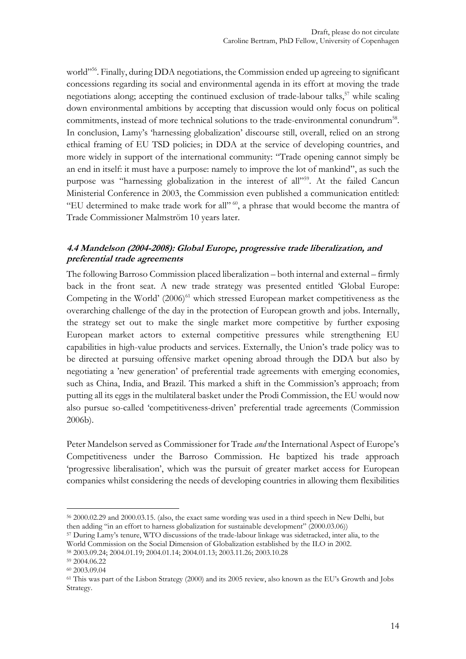world" 56 . Finally, during DDA negotiations, the Commission ended up agreeing to significant concessions regarding its social and environmental agenda in its effort at moving the trade negotiations along; accepting the continued exclusion of trade-labour talks, <sup>57</sup> while scaling down environmental ambitions by accepting that discussion would only focus on political commitments, instead of more technical solutions to the trade-environmental conundrum<sup>58</sup>. In conclusion, Lamy's 'harnessing globalization' discourse still, overall, relied on an strong ethical framing of EU TSD policies; in DDA at the service of developing countries, and more widely in support of the international community: "Trade opening cannot simply be an end in itself: it must have a purpose: namely to improve the lot of mankind", as such the purpose was "harnessing globalization in the interest of all"<sup>59</sup>. At the failed Cancun Ministerial Conference in 2003, the Commission even published a communication entitled: "EU determined to make trade work for all" <sup>60</sup>, a phrase that would become the mantra of Trade Commissioner Malmström 10 years later.

### **4.4 Mandelson (2004-2008): Global Europe, progressive trade liberalization, and preferential trade agreements**

The following Barroso Commission placed liberalization – both internal and external – firmly back in the front seat. A new trade strategy was presented entitled 'Global Europe: Competing in the World'  $(2006)^{61}$  which stressed European market competitiveness as the overarching challenge of the day in the protection of European growth and jobs. Internally, the strategy set out to make the single market more competitive by further exposing European market actors to external competitive pressures while strengthening EU capabilities in high-value products and services. Externally, the Union's trade policy was to be directed at pursuing offensive market opening abroad through the DDA but also by negotiating a 'new generation' of preferential trade agreements with emerging economies, such as China, India, and Brazil. This marked a shift in the Commission's approach; from putting all its eggs in the multilateral basket under the Prodi Commission, the EU would now also pursue so-called 'competitiveness-driven' preferential trade agreements (Commission 2006b).

Peter Mandelson served as Commissioner for Trade *and* the International Aspect of Europe's Competitiveness under the Barroso Commission. He baptized his trade approach 'progressive liberalisation', which was the pursuit of greater market access for European companies whilst considering the needs of developing countries in allowing them flexibilities

<sup>56</sup> 2000.02.29 and 2000.03.15. (also, the exact same wording was used in a third speech in New Delhi, but then adding "in an effort to harness globalization for sustainable development" (2000.03.06))

<sup>57</sup> During Lamy's tenure, WTO discussions of the trade-labour linkage was sidetracked, inter alia, to the World Commission on the Social Dimension of Globalization established by the ILO in 2002.

<sup>58</sup> 2003.09.24; 2004.01.19; 2004.01.14; 2004.01.13; 2003.11.26; 2003.10.28

<sup>59</sup> 2004.06.22

<sup>60</sup> 2003.09.04

<sup>61</sup> This was part of the Lisbon Strategy (2000) and its 2005 review, also known as the EU's Growth and Jobs Strategy.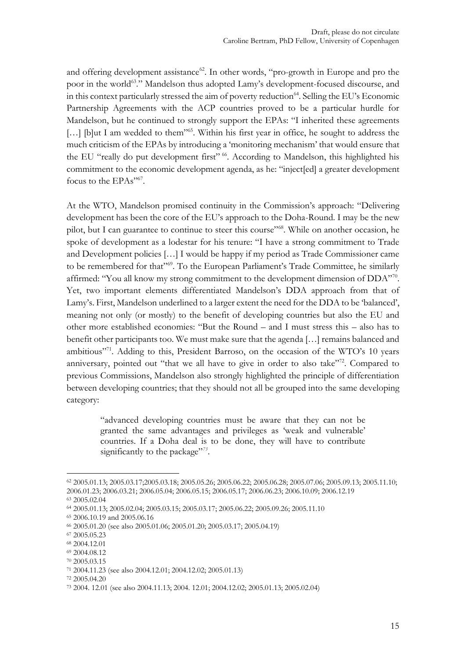and offering development assistance<sup>62</sup>. In other words, "pro-growth in Europe and pro the poor in the world<sup>63</sup>." Mandelson thus adopted Lamy's development-focused discourse, and in this context particularly stressed the aim of poverty reduction<sup>64</sup>. Selling the EU's Economic Partnership Agreements with the ACP countries proved to be a particular hurdle for Mandelson, but he continued to strongly support the EPAs: "I inherited these agreements [...] [b]ut I am wedded to them"<sup>65</sup>. Within his first year in office, he sought to address the much criticism of the EPAs by introducing a 'monitoring mechanism' that would ensure that the EU "really do put development first" <sup>66</sup>. According to Mandelson, this highlighted his commitment to the economic development agenda, as he: "inject[ed] a greater development focus to the EPAs"67.

At the WTO, Mandelson promised continuity in the Commission's approach: "Delivering development has been the core of the EU's approach to the Doha-Round. I may be the new pilot, but I can guarantee to continue to steer this course"<sup>68</sup>. While on another occasion, he spoke of development as a lodestar for his tenure: "I have a strong commitment to Trade and Development policies […] I would be happy if my period as Trade Commissioner came to be remembered for that"<sup>69</sup>. To the European Parliament's Trade Committee, he similarly affirmed: "You all know my strong commitment to the development dimension of DDA"<sup>70</sup>. Yet, two important elements differentiated Mandelson's DDA approach from that of Lamy's. First, Mandelson underlined to a larger extent the need for the DDA to be 'balanced', meaning not only (or mostly) to the benefit of developing countries but also the EU and other more established economies: "But the Round – and I must stress this – also has to benefit other participants too. We must make sure that the agenda […] remains balanced and ambitious"<sup>71</sup>. Adding to this, President Barroso, on the occasion of the WTO's 10 years anniversary, pointed out "that we all have to give in order to also take"<sup>72</sup>. Compared to previous Commissions, Mandelson also strongly highlighted the principle of differentiation between developing countries; that they should not all be grouped into the same developing category:

"advanced developing countries must be aware that they can not be granted the same advantages and privileges as 'weak and vulnerable' countries. If a Doha deal is to be done, they will have to contribute significantly to the package"<sup>73</sup>.

-

<sup>72</sup> 2005.04.20

<sup>62</sup> 2005.01.13; 2005.03.17;2005.03.18; 2005.05.26; 2005.06.22; 2005.06.28; 2005.07.06; 2005.09.13; 2005.11.10; 2006.01.23; 2006.03.21; 2006.05.04; 2006.05.15; 2006.05.17; 2006.06.23; 2006.10.09; 2006.12.19

<sup>63</sup> 2005.02.04

<sup>64</sup> 2005.01.13; 2005.02.04; 2005.03.15; 2005.03.17; 2005.06.22; 2005.09.26; 2005.11.10

<sup>65</sup> 2006.10.19 and 2005.06.16

<sup>66</sup> 2005.01.20 (see also 2005.01.06; 2005.01.20; 2005.03.17; 2005.04.19)

<sup>67</sup> 2005.05.23

<sup>68</sup> 2004.12.01

<sup>69</sup> 2004.08.12

<sup>70</sup> 2005.03.15

<sup>71</sup> 2004.11.23 (see also 2004.12.01; 2004.12.02; 2005.01.13)

<sup>73</sup> 2004. 12.01 (see also 2004.11.13; 2004. 12.01; 2004.12.02; 2005.01.13; 2005.02.04)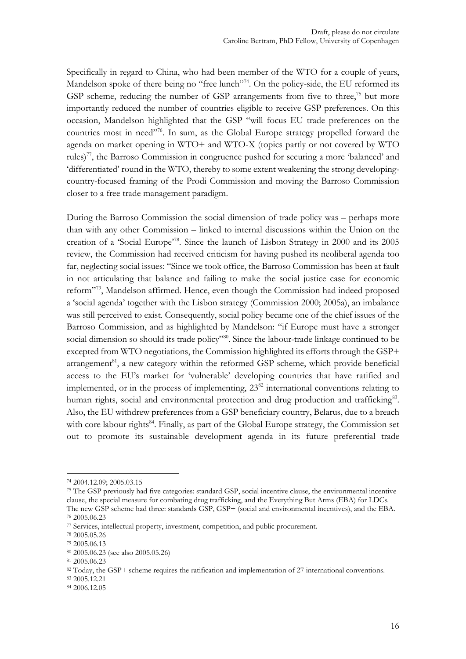Specifically in regard to China, who had been member of the WTO for a couple of years, Mandelson spoke of there being no "free lunch"<sup>74</sup>. On the policy-side, the EU reformed its GSP scheme, reducing the number of GSP arrangements from five to three,<sup>75</sup> but more importantly reduced the number of countries eligible to receive GSP preferences. On this occasion, Mandelson highlighted that the GSP "will focus EU trade preferences on the countries most in need"<sup>76</sup>. In sum, as the Global Europe strategy propelled forward the agenda on market opening in WTO+ and WTO-X (topics partly or not covered by WTO rules)<sup>77</sup>, the Barroso Commission in congruence pushed for securing a more 'balanced' and 'differentiated' round in the WTO, thereby to some extent weakening the strong developingcountry-focused framing of the Prodi Commission and moving the Barroso Commission closer to a free trade management paradigm.

During the Barroso Commission the social dimension of trade policy was – perhaps more than with any other Commission – linked to internal discussions within the Union on the creation of a 'Social Europe'<sup>78</sup>. Since the launch of Lisbon Strategy in 2000 and its 2005 review, the Commission had received criticism for having pushed its neoliberal agenda too far, neglecting social issues: "Since we took office, the Barroso Commission has been at fault in not articulating that balance and failing to make the social justice case for economic reform" <sup>79</sup>, Mandelson affirmed. Hence, even though the Commission had indeed proposed a 'social agenda' together with the Lisbon strategy (Commission 2000; 2005a), an imbalance was still perceived to exist. Consequently, social policy became one of the chief issues of the Barroso Commission, and as highlighted by Mandelson: "if Europe must have a stronger social dimension so should its trade policy"<sup>80</sup>. Since the labour-trade linkage continued to be excepted from WTO negotiations, the Commission highlighted its efforts through the GSP+ arrangement<sup>81</sup>, a new category within the reformed GSP scheme, which provide beneficial access to the EU's market for 'vulnerable' developing countries that have ratified and implemented, or in the process of implementing,  $23^{82}$  international conventions relating to human rights, social and environmental protection and drug production and trafficking<sup>83</sup>. Also, the EU withdrew preferences from a GSP beneficiary country, Belarus, due to a breach with core labour rights<sup>84</sup>. Finally, as part of the Global Europe strategy, the Commission set out to promote its sustainable development agenda in its future preferential trade

<sup>74</sup> 2004.12.09; 2005.03.15

<sup>75</sup> The GSP previously had five categories: standard GSP, social incentive clause, the environmental incentive clause, the special measure for combating drug trafficking, and the Everything But Arms (EBA) for LDCs. The new GSP scheme had three: standards GSP, GSP+ (social and environmental incentives), and the EBA.

<sup>76</sup> 2005.06.23

<sup>77</sup> Services, intellectual property, investment, competition, and public procurement.

<sup>78</sup> 2005.05.26

<sup>79</sup> 2005.06.13

<sup>80</sup> 2005.06.23 (see also 2005.05.26)

<sup>81</sup> 2005.06.23

<sup>82</sup> Today, the GSP+ scheme requires the ratification and implementation of 27 international conventions.

<sup>83</sup> 2005.12.21

<sup>84</sup> 2006.12.05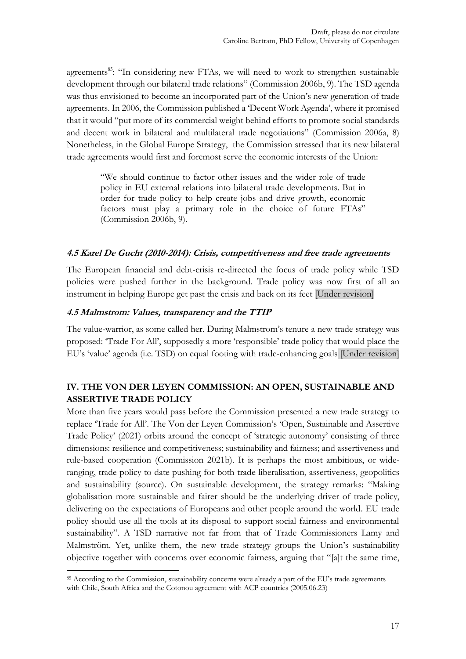agreements<sup>85</sup>: "In considering new FTAs, we will need to work to strengthen sustainable development through our bilateral trade relations" (Commission 2006b, 9). The TSD agenda was thus envisioned to become an incorporated part of the Union's new generation of trade agreements. In 2006, the Commission published a 'Decent Work Agenda', where it promised that it would "put more of its commercial weight behind efforts to promote social standards and decent work in bilateral and multilateral trade negotiations" (Commission 2006a, 8) Nonetheless, in the Global Europe Strategy, the Commission stressed that its new bilateral trade agreements would first and foremost serve the economic interests of the Union:

"We should continue to factor other issues and the wider role of trade policy in EU external relations into bilateral trade developments. But in order for trade policy to help create jobs and drive growth, economic factors must play a primary role in the choice of future FTAs" (Commission 2006b, 9).

#### **4.5 Karel De Gucht (2010-2014): Crisis, competitiveness and free trade agreements**

The European financial and debt-crisis re-directed the focus of trade policy while TSD policies were pushed further in the background. Trade policy was now first of all an instrument in helping Europe get past the crisis and back on its feet [Under revision]

### **4.5 Malmstrom: Values, transparency and the TTIP**

The value-warrior, as some called her. During Malmstrom's tenure a new trade strategy was proposed: 'Trade For All', supposedly a more 'responsible' trade policy that would place the EU's 'value' agenda (i.e. TSD) on equal footing with trade-enhancing goals [Under revision]

# **IV. THE VON DER LEYEN COMMISSION: AN OPEN, SUSTAINABLE AND ASSERTIVE TRADE POLICY**

More than five years would pass before the Commission presented a new trade strategy to replace 'Trade for All'. The Von der Leyen Commission's 'Open, Sustainable and Assertive Trade Policy' (2021) orbits around the concept of 'strategic autonomy' consisting of three dimensions: resilience and competitiveness; sustainability and fairness; and assertiveness and rule-based cooperation (Commission 2021b). It is perhaps the most ambitious, or wideranging, trade policy to date pushing for both trade liberalisation, assertiveness, geopolitics and sustainability (source). On sustainable development, the strategy remarks: "Making globalisation more sustainable and fairer should be the underlying driver of trade policy, delivering on the expectations of Europeans and other people around the world. EU trade policy should use all the tools at its disposal to support social fairness and environmental sustainability". A TSD narrative not far from that of Trade Commissioners Lamy and Malmström. Yet, unlike them, the new trade strategy groups the Union's sustainability objective together with concerns over economic fairness, arguing that "[a]t the same time,

<sup>&</sup>lt;u>.</u> <sup>85</sup> According to the Commission, sustainability concerns were already a part of the EU's trade agreements with Chile, South Africa and the Cotonou agreement with ACP countries (2005.06.23)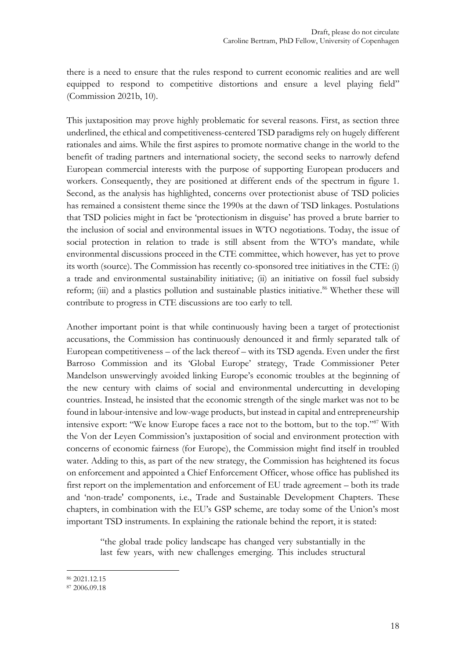there is a need to ensure that the rules respond to current economic realities and are well equipped to respond to competitive distortions and ensure a level playing field" (Commission 2021b, 10).

This juxtaposition may prove highly problematic for several reasons. First, as section three underlined, the ethical and competitiveness-centered TSD paradigms rely on hugely different rationales and aims. While the first aspires to promote normative change in the world to the benefit of trading partners and international society, the second seeks to narrowly defend European commercial interests with the purpose of supporting European producers and workers. Consequently, they are positioned at different ends of the spectrum in figure 1. Second, as the analysis has highlighted, concerns over protectionist abuse of TSD policies has remained a consistent theme since the 1990s at the dawn of TSD linkages. Postulations that TSD policies might in fact be 'protectionism in disguise' has proved a brute barrier to the inclusion of social and environmental issues in WTO negotiations. Today, the issue of social protection in relation to trade is still absent from the WTO's mandate, while environmental discussions proceed in the CTE committee, which however, has yet to prove its worth (source). The Commission has recently co-sponsored tree initiatives in the CTE: (i) a trade and environmental sustainability initiative; (ii) an initiative on fossil fuel subsidy reform; (iii) and a plastics pollution and sustainable plastics initiative.<sup>86</sup> Whether these will contribute to progress in CTE discussions are too early to tell.

Another important point is that while continuously having been a target of protectionist accusations, the Commission has continuously denounced it and firmly separated talk of European competitiveness – of the lack thereof – with its TSD agenda. Even under the first Barroso Commission and its 'Global Europe' strategy, Trade Commissioner Peter Mandelson unswervingly avoided linking Europe's economic troubles at the beginning of the new century with claims of social and environmental undercutting in developing countries. Instead, he insisted that the economic strength of the single market was not to be found in labour-intensive and low-wage products, but instead in capital and entrepreneurship intensive export: "We know Europe faces a race not to the bottom, but to the top." <sup>87</sup> With the Von der Leyen Commission's juxtaposition of social and environment protection with concerns of economic fairness (for Europe), the Commission might find itself in troubled water. Adding to this, as part of the new strategy, the Commission has heightened its focus on enforcement and appointed a Chief Enforcement Officer, whose office has published its first report on the implementation and enforcement of EU trade agreement – both its trade and 'non-trade' components, i.e., Trade and Sustainable Development Chapters. These chapters, in combination with the EU's GSP scheme, are today some of the Union's most important TSD instruments. In explaining the rationale behind the report, it is stated:

"the global trade policy landscape has changed very substantially in the last few years, with new challenges emerging. This includes structural

<sup>&</sup>lt;u>.</u> <sup>86</sup> 2021.12.15

<sup>87</sup> 2006.09.18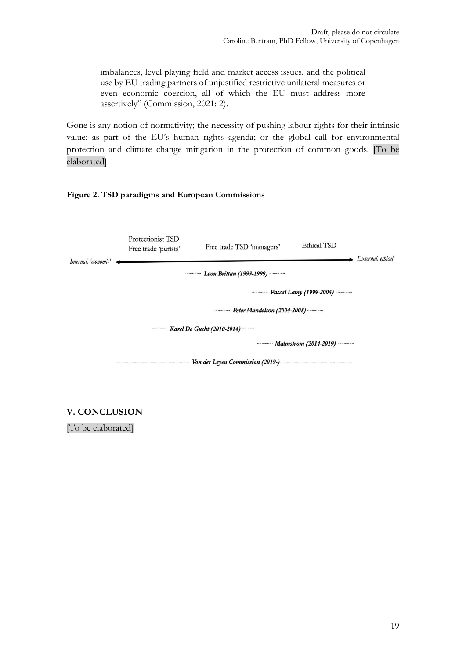imbalances, level playing field and market access issues, and the political use by EU trading partners of unjustified restrictive unilateral measures or even economic coercion, all of which the EU must address more assertively" (Commission, 2021: 2).

Gone is any notion of normativity; the necessity of pushing labour rights for their intrinsic value; as part of the EU's human rights agenda; or the global call for environmental protection and climate change mitigation in the protection of common goods. [To be elaborated]

#### **Figure 2. TSD paradigms and European Commissions**

| Internal, 'economic'                                              | Protectionist TSD<br>Free trade 'purists'    | Free trade TSD 'managers'        | Ethical TSD | External, ethical |
|-------------------------------------------------------------------|----------------------------------------------|----------------------------------|-------------|-------------------|
|                                                                   | <b>Example 2011</b> Even Brittan (1993-1999) |                                  |             |                   |
| Pascal Lamy (1999-2004)                                           |                                              |                                  |             |                   |
| <b>Example 2004-2008</b> Peter Mandelson (2004-2008)              |                                              |                                  |             |                   |
| <b>EXAMPLE COOLS AND EXAMPLE COLO .2014</b> ) <b><i>COOLS</i></b> |                                              |                                  |             |                   |
|                                                                   |                                              |                                  |             |                   |
|                                                                   |                                              | Von der Leyen Commission (2019-) |             |                   |

### **V. CONCLUSION**

[To be elaborated]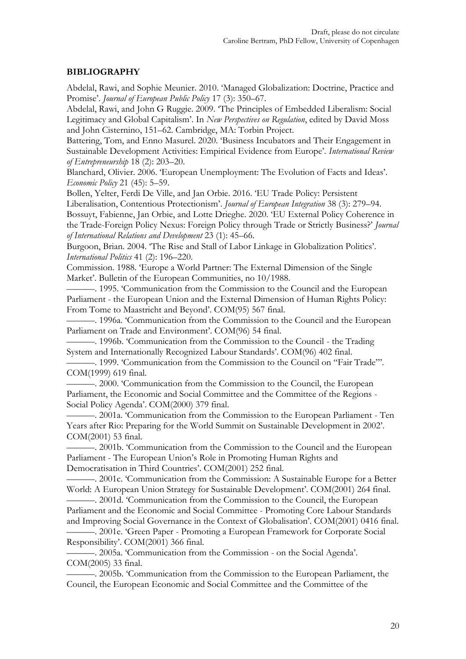### **BIBLIOGRAPHY**

Abdelal, Rawi, and Sophie Meunier. 2010. 'Managed Globalization: Doctrine, Practice and Promise'. *Journal of European Public Policy* 17 (3): 350–67.

Abdelal, Rawi, and John G Ruggie. 2009. 'The Principles of Embedded Liberalism: Social Legitimacy and Global Capitalism'. In *New Perspectives on Regulation*, edited by David Moss and John Cisternino, 151–62. Cambridge, MA: Torbin Project.

Battering, Tom, and Enno Masurel. 2020. 'Business Incubators and Their Engagement in Sustainable Development Activities: Empirical Evidence from Europe'. *International Review of Entrepreneurship* 18 (2): 203–20.

Blanchard, Olivier. 2006. 'European Unemployment: The Evolution of Facts and Ideas'. *Economic Policy* 21 (45): 5–59.

Bollen, Yelter, Ferdi De Ville, and Jan Orbie. 2016. 'EU Trade Policy: Persistent Liberalisation, Contentious Protectionism'. *Journal of European Integration* 38 (3): 279–94. Bossuyt, Fabienne, Jan Orbie, and Lotte Drieghe. 2020. 'EU External Policy Coherence in the Trade-Foreign Policy Nexus: Foreign Policy through Trade or Strictly Business?' *Journal* 

*of International Relations and Development* 23 (1): 45–66.

Burgoon, Brian. 2004. 'The Rise and Stall of Labor Linkage in Globalization Politics'. *International Politics* 41 (2): 196–220.

Commission. 1988. 'Europe a World Partner: The External Dimension of the Single Market'. Bulletin of the European Communities, no 10/1988.

———. 1995. 'Communication from the Commission to the Council and the European Parliament - the European Union and the External Dimension of Human Rights Policy: From Tome to Maastricht and Beyond'. COM(95) 567 final.

———. 1996a. 'Communication from the Commission to the Council and the European Parliament on Trade and Environment'. COM(96) 54 final.

———. 1996b. 'Communication from the Commission to the Council - the Trading System and Internationally Recognized Labour Standards'. COM(96) 402 final.

———. 1999. 'Communication from the Commission to the Council on "Fair Trade"'. COM(1999) 619 final.

———. 2000. 'Communication from the Commission to the Council, the European Parliament, the Economic and Social Committee and the Committee of the Regions - Social Policy Agenda'. COM(2000) 379 final.

———. 2001a. 'Communication from the Commission to the European Parliament - Ten Years after Rio: Preparing for the World Summit on Sustainable Development in 2002'. COM(2001) 53 final.

———. 2001b. 'Communication from the Commission to the Council and the European Parliament - The European Union's Role in Promoting Human Rights and Democratisation in Third Countries'. COM(2001) 252 final.

———. 2001c. 'Communication from the Commission: A Sustainable Europe for a Better World: A European Union Strategy for Sustainable Development'. COM(2001) 264 final.

———. 2001d. 'Communication from the Commission to the Council, the European Parliament and the Economic and Social Committee - Promoting Core Labour Standards and Improving Social Governance in the Context of Globalisation'. COM(2001) 0416 final.

———. 2001e. 'Green Paper - Promoting a European Framework for Corporate Social Responsibility'. COM(2001) 366 final.

———. 2005a. 'Communication from the Commission - on the Social Agenda'. COM(2005) 33 final.

———. 2005b. 'Communication from the Commission to the European Parliament, the Council, the European Economic and Social Committee and the Committee of the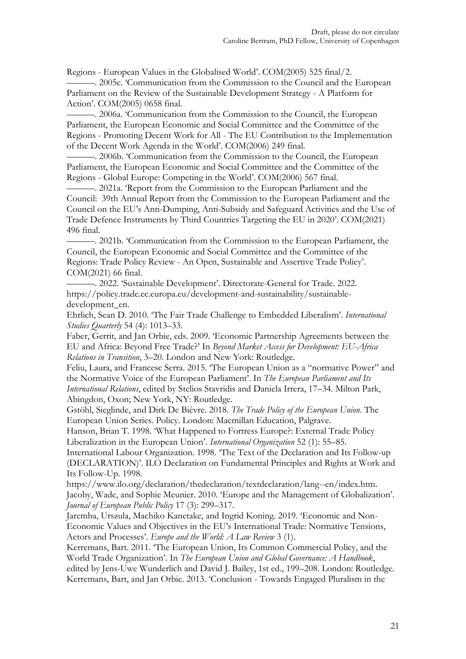Regions - European Values in the Globalised World'. COM(2005) 525 final/2.

———. 2005c. 'Communication from the Commission to the Council and the European Parliament on the Review of the Sustainable Development Strategy - A Platform for Action'. COM(2005) 0658 final.

———. 2006a. 'Communication from the Commission to the Council, the European Parliament, the European Economic and Social Committee and the Committee of the Regions - Promoting Decent Work for All - The EU Contribution to the Implementation of the Decent Work Agenda in the World'. COM(2006) 249 final.

———. 2006b. 'Communication from the Commission to the Council, the European Parliament, the European Economic and Social Committee and the Committee of the Regions - Global Europe: Competing in the World'. COM(2006) 567 final.

———. 2021a. 'Report from the Commission to the European Parliament and the Council: 39th Annual Report from the Commission to the European Parliament and the Council on the EU's Anti-Dumping, Anti-Subsidy and Safeguard Activities and the Use of Trade Defence Instruments by Third Countries Targeting the EU in 2020'. COM(2021) 496 final.

———. 2021b. 'Communication from the Commission to the European Parliament, the Council, the European Economic and Social Committee and the Committee of the Regions: Trade Policy Review - An Open, Sustainable and Assertive Trade Policy'. COM(2021) 66 final.

———. 2022. 'Sustainable Development'. Directorate-General for Trade. 2022. https://policy.trade.ec.europa.eu/development-and-sustainability/sustainabledevelopment\_en.

Ehrlich, Sean D. 2010. 'The Fair Trade Challenge to Embedded Liberalism'. *International Studies Quarterly* 54 (4): 1013–33.

Faber, Gerrit, and Jan Orbie, eds. 2009. 'Economic Partnership Agreements between the EU and Africa: Beyond Free Trade?' In *Beyond Market Access for Development: EU-Africa Relations in Transition*, 3–20. London and New York: Routledge.

Feliu, Laura, and Francesc Serra. 2015. 'The European Union as a "normative Power" and the Normative Voice of the European Parliament'. In *The European Parliament and Its International Relations*, edited by Stelios Stavridis and Daniela Irrera, 17–34. Milton Park, Abingdon, Oxon; New York, NY: Routledge.

Gstöhl, Sieglinde, and Dirk De Bièvre. 2018. *The Trade Policy of the European Union*. The European Union Series. Policy. London: Macmillan Education, Palgrave.

Hanson, Brian T. 1998. 'What Happened to Fortress Europe?: External Trade Policy Liberalization in the European Union'. *International Organization* 52 (1): 55–85.

International Labour Organization. 1998. 'The Text of the Declaration and Its Follow-up (DECLARATION)'. ILO Declaration on Fundamental Principles and Rights at Work and Its Follow-Up. 1998.

https://www.ilo.org/declaration/thedeclaration/textdeclaration/lang--en/index.htm. Jacoby, Wade, and Sophie Meunier. 2010. 'Europe and the Management of Globalization'. *Journal of European Public Policy* 17 (3): 299–317.

Jaremba, Urszula, Machiko Kanetake, and Ingrid Koning. 2019. 'Economic and Non-Economic Values and Objectives in the EU's International Trade: Normative Tensions, Actors and Processes'. *Europe and the World: A Law Review* 3 (1).

Kerremans, Bart. 2011. 'The European Union, Its Common Commercial Policy, and the World Trade Organization'. In *The European Union and Global Governance: A Handbook*, edited by Jens-Uwe Wunderlich and David J. Bailey, 1st ed., 199–208. London: Routledge.

Kerremans, Bart, and Jan Orbie. 2013. 'Conclusion - Towards Engaged Pluralism in the